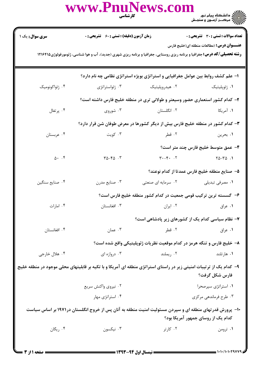|                                                                                                                                                                                        | www.PnuNews.com                                                                                          | <b>کارشناسی</b>                                                         | ے :<br>حکالات دانشگاہ پیام نور<br>حکالات مرکز آزمون و سنجش |  |  |  |
|----------------------------------------------------------------------------------------------------------------------------------------------------------------------------------------|----------------------------------------------------------------------------------------------------------|-------------------------------------------------------------------------|------------------------------------------------------------|--|--|--|
| سری سوال: یک ۱                                                                                                                                                                         | <b>زمان آزمون (دقیقه) : تستی : 60 ٪ تشریحی : 0</b>                                                       |                                                                         | <b>تعداد سوالات : تستی : 30 ٪ تشریحی : 0</b>               |  |  |  |
| <b>عنــــوان درس :</b> (مطالعات منطقه ای(خلیج فارس<br><b>رشته تحصیلی/کد درس:</b> جغرافیا و برنامه ریزی روستایی، جغرافیا و برنامه ریزی شهری (جدید)، آب و هوا شناسی، ژئومورفولوژی1۲۱۶۴۱۵ |                                                                                                          |                                                                         |                                                            |  |  |  |
|                                                                                                                                                                                        | ۱- علم کشف روابط بین عوامل جغرافیایی و استراتژی بویژه استراتژی نظامی چه نام دارد؟                        |                                                                         |                                                            |  |  |  |
| ۰۴ ژئواکونومیک                                                                                                                                                                         | ۰۳ ژئواستراتژی                                                                                           | ۰۲ هیدروپلیتیک                                                          | ٠١ ژئوپليتيک                                               |  |  |  |
|                                                                                                                                                                                        | ۲- کدام کشور استعماری حضور وسیعتر و طولانی تری در منطقه خلیج فارس داشته است؟                             |                                                                         |                                                            |  |  |  |
| ۰۴ پرتغال                                                                                                                                                                              | ۰۳ شوروی                                                                                                 | ۰۲ انگلستان                                                             | ۱. آمریکا                                                  |  |  |  |
|                                                                                                                                                                                        | ۳- کدام کشور در منطقه خلیج فارس بیش از دیگر کشورها در معرض طوفان شن قرار دارد؟                           |                                                                         |                                                            |  |  |  |
| ۰۴ عربستان                                                                                                                                                                             | ۰۳ کويت                                                                                                  | ۰۲ قطر                                                                  | ۰۱ بحرين                                                   |  |  |  |
|                                                                                                                                                                                        |                                                                                                          |                                                                         | ۴– عمق متوسط خلیج فارس چند متر است؟                        |  |  |  |
| $0 \cdot \cdot \cdot$                                                                                                                                                                  | $\Gamma \Delta - \Gamma \Delta$ .                                                                        | $\uparrow \cdot - \uparrow \cdot$ . $\uparrow$                          | $Y\Delta - Y\Delta$ .                                      |  |  |  |
|                                                                                                                                                                                        |                                                                                                          |                                                                         | ۵– صنایع منطقه خلیج فارس عمدتا از کدام نوعند؟              |  |  |  |
| ۰۴ صنایع سنگین                                                                                                                                                                         | ۰۳ صنايع مدرن                                                                                            | ۰۲ سرمایه ای صنعتی                                                      | ۰۱ مصرفی تبدیلی                                            |  |  |  |
|                                                                                                                                                                                        |                                                                                                          | ۶– گسسته ترین ترکیب قومی جمعیت در کدام کشور منطقه خلیج فارس است؟        |                                                            |  |  |  |
| ۰۴ امارات                                                                                                                                                                              | ۰۳ افغانستان                                                                                             | ۰۲ ایران                                                                | ٠١ عراق                                                    |  |  |  |
|                                                                                                                                                                                        |                                                                                                          | ۷– نظام سیاسی کدام یک از کشورهای زیر پادشاهی است؟                       |                                                            |  |  |  |
| ۰۴ افغانستان                                                                                                                                                                           | ۰۳ عمان                                                                                                  | ۰۲ قطر                                                                  | ۰۱ عراق                                                    |  |  |  |
|                                                                                                                                                                                        |                                                                                                          | ۸– خلیج فارس و تنگه هرمز در کدام موقعیت نظریات ژئوپلیتیکی واقع شده است؟ |                                                            |  |  |  |
| ۰۴ هلال خارجي                                                                                                                                                                          | ۰۳ دروازه ای                                                                                             | ۰۲ ریملند                                                               | ۰۱ هارتلند                                                 |  |  |  |
| ۹– کدام یک از ترتیبات امنیتی زیر در راستای استراتژی منطقه ای آمریکا و با تکیه بر قابلیتهای محلی موجود در منطقه خلیج<br>فارس شكل گرفت؟                                                  |                                                                                                          |                                                                         |                                                            |  |  |  |
|                                                                                                                                                                                        | ۰۲ نیروی واکنش سریع                                                                                      |                                                                         | ۰۱ استراتژی سپرصحرا                                        |  |  |  |
|                                                                                                                                                                                        | ۰۴ استراتژی مهار                                                                                         |                                                                         | ۰۳ طرح فرماندهی مرکزی                                      |  |  |  |
|                                                                                                                                                                                        | ۱۰– پرورش قدر تهای منطقه ای و سپردن مسئولیت امنیت منطقه به آنان پس از خروج انگلستان در۱۹۷۱ بر اساس سیاست |                                                                         | کدام یک از روسای جمهور آمریکا بود؟                         |  |  |  |
| ۰۴ ریگان                                                                                                                                                                               | ۰۳ نیکسون                                                                                                | ۰۲ کارتر                                                                | ۰۱ ترومن                                                   |  |  |  |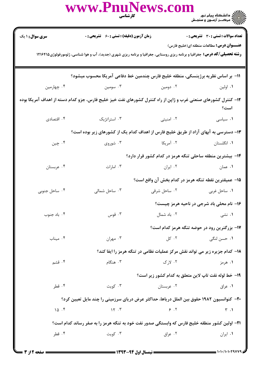|                                                                                                                                                                                      | www.PnuNews.com                                                                                   | <b>کار شناسی</b><br>استان | ے ۔<br>کا اللہ کا مقام ہیام نور<br>کا اللہ کرکٹ آزمون و سنجش |  |  |
|--------------------------------------------------------------------------------------------------------------------------------------------------------------------------------------|---------------------------------------------------------------------------------------------------|---------------------------|--------------------------------------------------------------|--|--|
| سری سوال: ۱ یک                                                                                                                                                                       | زمان آزمون (دقیقه) : تستی : 60 ٪ تشریحی : 0                                                       |                           | <b>تعداد سوالات : تستی : 30 ٪ تشریحی : 0</b>                 |  |  |
| <b>عنـــوان درس:</b> مطالعات منطقه ای(خلیج فارس)<br><b>رشته تحصیلی/کد درس:</b> جغرافیا و برنامه ریزی روستایی، جغرافیا و برنامه ریزی شهری (جدید)، آب و هوا شناسی، ژئومورفولوژی۱۲۱۶۴۱۵ |                                                                                                   |                           |                                                              |  |  |
|                                                                                                                                                                                      | 11– بر اساس نظریه برژینسکی، منطقه خلیج فارس چندمین خط دفاعی آمریکا محسوب میشود؟                   |                           |                                                              |  |  |
| ۰۴ چهارمین                                                                                                                                                                           |                                                                                                   | ۰۲ دومین مسومین در ۲۰۰    | ۰۱ اولین                                                     |  |  |
| ۱۲– کنترل کشورهای صنعتی غرب و ژاپن از راه کنترل کشورهای نفت خیز خلیج فارس، جزو کدام دسته از اهداف آمریکا بوده<br>است؟                                                                |                                                                                                   |                           |                                                              |  |  |
| ۰۴ اقتصادی                                                                                                                                                                           | ۰۳ استراتژیک                                                                                      | ۰۲ امنیتی                 | ٠١ سياسى                                                     |  |  |
| ۱۳- دسترسی به آبهای آزاد از طریق خلیج فارس از اهداف کدام یک از کشورهای زیر بوده است؟                                                                                                 |                                                                                                   |                           |                                                              |  |  |
| ۰۴ چين                                                                                                                                                                               | ۰۳ شوروی                                                                                          | ۲. آمریکا                 | ۰۱ انگلستان                                                  |  |  |
|                                                                                                                                                                                      |                                                                                                   |                           | ۱۴– بیشترین منطقه ساحلی تنگه هرمز در کدام کشور قرار دارد؟    |  |  |
| ۰۴ عربستان                                                                                                                                                                           | ۰۳ امارات                                                                                         | ۰۲ ایران است.             | ۱. عمان                                                      |  |  |
|                                                                                                                                                                                      |                                                                                                   |                           | ∆1− عمیقترین نقطه تنگه هرمز در کدام بخش آن واقع است؟         |  |  |
| ۰۴ ساحل جنوبی                                                                                                                                                                        | ۰۳ ساحل شمالی                                                                                     | ۰۲ ساحل شرقی              | ۰۱ ساحل غربی                                                 |  |  |
|                                                                                                                                                                                      |                                                                                                   |                           | ۱۶- نام محلی باد شرجی در ناحیه هرمز چیست؟                    |  |  |
| ۰۴ باد جنوب                                                                                                                                                                          | ۰۳ قوس                                                                                            | ۰۲ باد شمال               | ۰۱ نشی                                                       |  |  |
|                                                                                                                                                                                      |                                                                                                   |                           | 17- بزرگترین رود در حوضه تنگه هرمز کدام است؟                 |  |  |
| ۰۴ میناب                                                                                                                                                                             | ۰۳ مهران                                                                                          | ۰۲ کل                     | ۰۱ حسن لنگی                                                  |  |  |
| 18- کدام جزیره زیر می تواند نقش مرکز عملیات نظامی در تنگه هرمز را ایفا کند؟                                                                                                          |                                                                                                   |                           |                                                              |  |  |
| ۰۴ قشم                                                                                                                                                                               | ۰۳ هنگام                                                                                          | ۰۲ لا,ک                   | ۰۱ هرمز                                                      |  |  |
|                                                                                                                                                                                      |                                                                                                   |                           | ۱۹- خط لوله نقت تاپ لاین متعلق به کدام کشور زیر است؟         |  |  |
| ۰۴ قطر                                                                                                                                                                               | ۰۳ کویت                                                                                           | ۰۲ عربستان                | ۰۱ عراق                                                      |  |  |
|                                                                                                                                                                                      | <b>۲۰</b> - کنوانسیون ۱۹۸۲ حقوق بین الملل دریاها، حداکثر عرض دریای سرزمینی را چند مایل تعیین کرد؟ |                           |                                                              |  |  |
| 10.5                                                                                                                                                                                 | $\gamma \gamma$ . $\gamma$                                                                        | 9.7                       | $\uparrow$ .1                                                |  |  |
| ۲۱- اولین کشور منطقه خلیج فارس که وابستگی صدور نفت خود به تنگه هرمز را به صفر رساند کدام است؟                                                                                        |                                                                                                   |                           |                                                              |  |  |
| ۰۴ قطر                                                                                                                                                                               | ۰۳ کويت                                                                                           | ۰۲ عراق                   | ۰۱ ایران                                                     |  |  |
|                                                                                                                                                                                      |                                                                                                   |                           |                                                              |  |  |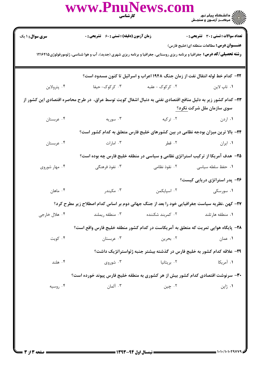|                                                                                                                                                                                      | www.PnuNews.com                                                                    | <b>کار شناسی</b><br>استان  | ))))))<br>)))))))) دانشگاه پیام نور<br>))))))) مرک_ز آزمـون و سنجـش              |  |  |
|--------------------------------------------------------------------------------------------------------------------------------------------------------------------------------------|------------------------------------------------------------------------------------|----------------------------|----------------------------------------------------------------------------------|--|--|
| <b>سری سوال :</b> ۱ یک                                                                                                                                                               | زمان آزمون (دقیقه) : تستی : 60 ٪ تشریحی : 0                                        |                            | <b>تعداد سوالات : تستی : 30 ٪ تشریحی : 0</b>                                     |  |  |
| <b>عنـــوان درس:</b> مطالعات منطقه ای(خلیج فارس)<br><b>رشته تحصیلی/کد درس:</b> جغرافیا و برنامه ریزی روستایی، جغرافیا و برنامه ریزی شهری (جدید)، آب و هوا شناسی، ژئومورفولوژی۱۲۱۶۴۱۵ |                                                                                    |                            |                                                                                  |  |  |
| ۲۲- کدام خط لوله انتقال نفت از زمان جنگ ۱۹۴۸ اعراب و اسرائیل تا کنون مسدود است؟                                                                                                      |                                                                                    |                            |                                                                                  |  |  |
| ۰۴ پترولاين                                                                                                                                                                          | ۰۳ کرکوک- حیفا                                                                     | ۲. کرکوک – عقبه            | ۰۱ تاپ لاين                                                                      |  |  |
| ۲۳– کدام کشور زیر به دلیل منافع اقتصادی نفتی به دنبال اشغال کویت توسط عراق، در طرح محاصره اقتصادی این کشور از<br>سوی سازمان ملل شرکت <u>نکرد؟</u>                                    |                                                                                    |                            |                                                                                  |  |  |
| ۰۴ عربستان                                                                                                                                                                           | ۰۳ نوریه $\cdot$                                                                   | ۲. ترکیه                   | ۰۱ اردن                                                                          |  |  |
|                                                                                                                                                                                      |                                                                                    |                            | ۲۴– بالا ترین میزان بودجه نظامی در بین کشورهای خلیج فارس متعلق به کدام کشور است؟ |  |  |
| ۰۴ عربستان                                                                                                                                                                           |                                                                                    | ۰۲ قطر میسی است. ۲۰ امارات | ۰۱ ایران                                                                         |  |  |
|                                                                                                                                                                                      |                                                                                    |                            | ۲۵- هدف آمریکا از ترکیب استراتژی نظامی و سیاسی در منطقه خلیج فارس چه بوده است؟   |  |  |
| ۰۴ مهار شوروی                                                                                                                                                                        | ۰۳ نفوذ فرهنگی                                                                     |                            | ۰۱ حفظ سلطه سیاسی مسلسل ۲۰ نقوذ نظامی                                            |  |  |
|                                                                                                                                                                                      |                                                                                    |                            | ۲۶– پدر استراتژی دریایی کیست؟                                                    |  |  |
| ۰۴ ماهان                                                                                                                                                                             | ۰۳ مکیندر                                                                          | ٠٢ اسپایکمن                | ۰۱ سورسکی                                                                        |  |  |
| ۲۷- کهن ،نظریه سیاست جغرافیایی خود را بعد از جنگ جهانی دوم بر اساس کدام اصطلاح زیر مطرح کرد؟                                                                                         |                                                                                    |                            |                                                                                  |  |  |
| ۰۴ هلال خارجي                                                                                                                                                                        | ۰۳ منطقه ريملند                                                                    | ۰۲ کمربند شکننده           | ۰۱ منطقه هارتلند                                                                 |  |  |
|                                                                                                                                                                                      | ۲۸– پایگاه هوایی تمریت که متعلق به آمریکاست در کدام کشور منطقه خلیج فارس واقع است؟ |                            |                                                                                  |  |  |
| ۰۴ کویت                                                                                                                                                                              | ۰۳ عربستان                                                                         | ۰۲ بحرين                   | ۰۱ عمان                                                                          |  |  |
|                                                                                                                                                                                      |                                                                                    |                            | ۲۹– علاقه کدام کشور به خلیج فارس در گذشته بیشتر جنبه ژئواستراتژیک داشت؟          |  |  |
| ۰۴ هلند                                                                                                                                                                              | ۰۳ شوروی                                                                           | ۰۲ بریتانیا                | ۰۱ آمریکا                                                                        |  |  |
| ۳۰- سرنوشت اقتصادی کدام کشور بیش از هر کشوری به منطقه خلیج فارس پیوند خورده است؟                                                                                                     |                                                                                    |                            |                                                                                  |  |  |
| ۰۴ روسیه                                                                                                                                                                             | ۰۳ آلمان                                                                           | ۰۲ چين                     | ۰۱ ژاپن                                                                          |  |  |
|                                                                                                                                                                                      |                                                                                    |                            |                                                                                  |  |  |